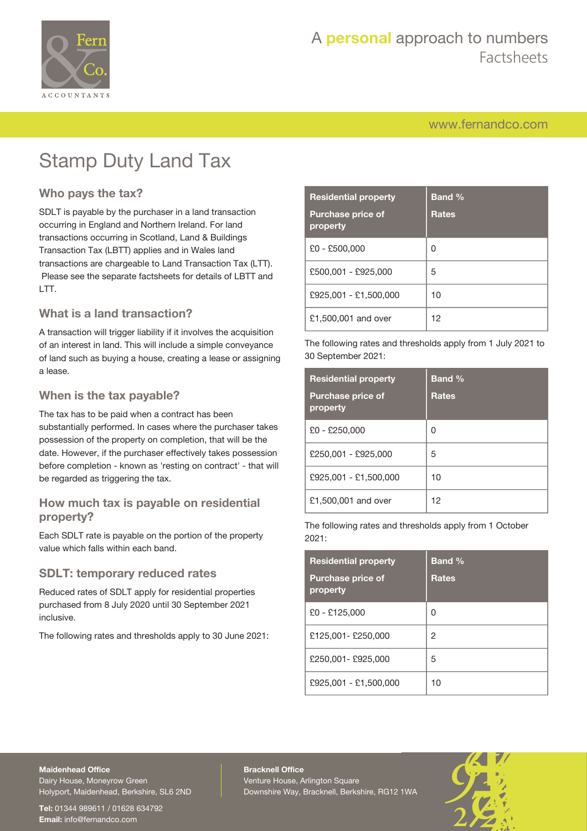

# Stamp Duty Land Tax

### **Who pays the tax?**

SDLT is payable by the purchaser in a land transaction occurring in England and Northern Ireland. For land transactions occurring in Scotland, Land & Buildings Transaction Tax (LBTT) applies and in Wales land transactions are chargeable to Land Transaction Tax (LTT). Please see the separate factsheets for details of LBTT and LTT.

### **What is a land transaction?**

A transaction will trigger liability if it involves the acquisition of an interest in land. This will include a simple conveyance of land such as buying a house, creating a lease or assigning a lease.

### **When is the tax payable?**

The tax has to be paid when a contract has been substantially performed. In cases where the purchaser takes possession of the property on completion, that will be the date. However, if the purchaser effectively takes possession before completion - known as 'resting on contract' - that will be regarded as triggering the tax.

### **How much tax is payable on residential property?**

Each SDLT rate is payable on the portion of the property value which falls within each band.

### **SDLT: temporary reduced rates**

Reduced rates of SDLT apply for residential properties purchased from 8 July 2020 until 30 September 2021 inclusive.

The following rates and thresholds apply to 30 June 2021:

| <b>Residential property</b>          | <b>Band %</b> |
|--------------------------------------|---------------|
| <b>Purchase price of</b><br>property | <b>Rates</b>  |
| $£0 - £500,000$                      | 0             |
| £500,001 - £925,000                  | 5             |
| £925,001 - £1,500,000                | 10            |
| £1,500,001 and over                  | 12            |

The following rates and thresholds apply from 1 July 2021 to 30 September 2021:

| <b>Residential property</b>          | <b>Band %</b> |
|--------------------------------------|---------------|
| <b>Purchase price of</b><br>property | <b>Rates</b>  |
| £0 - £250,000                        | 0             |
| £250,001 - £925,000                  | 5             |
| £925,001 - £1,500,000                | 10            |
| £1,500,001 and over                  | 12            |

The following rates and thresholds apply from 1 October 2021:

| <b>Residential property</b>          | <b>Band %</b> |
|--------------------------------------|---------------|
| <b>Purchase price of</b><br>property | <b>Rates</b>  |
| £0 - £125,000                        | 0             |
| £125,001- £250,000                   | 2             |
| £250,001 - £925,000                  | 5             |
| £925,001 - £1,500,000                | 10            |

#### **Maidenhead Office**

Dairy House, Moneyrow Green Holyport, Maidenhead, Berkshire, SL6 2ND

**Tel:** 01344 989611 / 01628 634792 **Email:** [info@fernandco.com](mailto:info@fernandco.com)

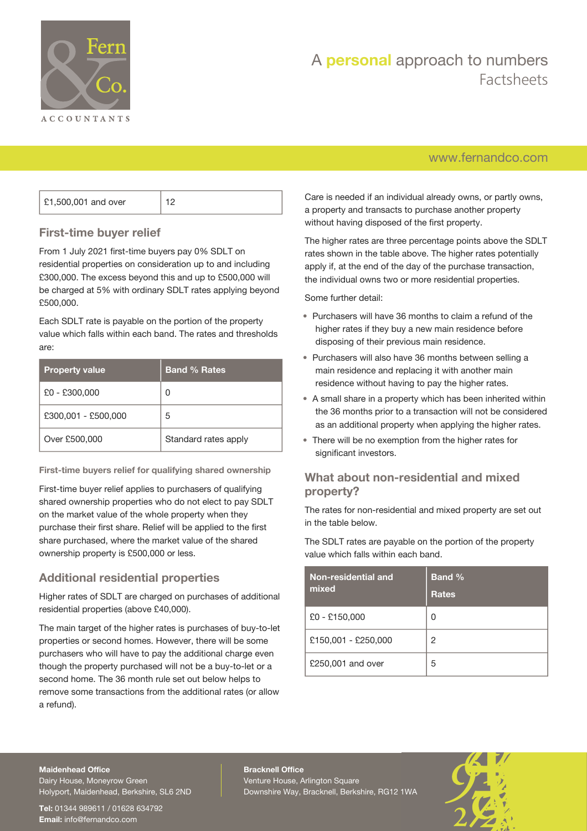

# A **personal** approach to numbers Factsheets

### [www.fernandco.com](http://www.fernandco.com)

| £1,500,001 and over |  |
|---------------------|--|
|---------------------|--|

### **First-time buyer relief**

From 1 July 2021 first-time buyers pay 0% SDLT on residential properties on consideration up to and including £300,000. The excess beyond this and up to £500,000 will be charged at 5% with ordinary SDLT rates applying beyond £500,000.

Each SDLT rate is payable on the portion of the property value which falls within each band. The rates and thresholds are:

| <b>Property value</b> | <b>Band % Rates</b>  |
|-----------------------|----------------------|
| £0 - £300,000         | Ω                    |
| £300,001 - £500,000   | 5                    |
| Over £500,000         | Standard rates apply |

**First-time buyers relief for qualifying shared ownership**

First-time buyer relief applies to purchasers of qualifying shared ownership properties who do not elect to pay SDLT on the market value of the whole property when they purchase their first share. Relief will be applied to the first share purchased, where the market value of the shared ownership property is £500,000 or less.

### **Additional residential properties**

Higher rates of SDLT are charged on purchases of additional residential properties (above £40,000).

The main target of the higher rates is purchases of buy-to-let properties or second homes. However, there will be some purchasers who will have to pay the additional charge even though the property purchased will not be a buy-to-let or a second home. The 36 month rule set out below helps to remove some transactions from the additional rates (or allow a refund).

Care is needed if an individual already owns, or partly owns, a property and transacts to purchase another property without having disposed of the first property.

The higher rates are three percentage points above the SDLT rates shown in the table above. The higher rates potentially apply if, at the end of the day of the purchase transaction, the individual owns two or more residential properties.

Some further detail:

- Purchasers will have 36 months to claim a refund of the higher rates if they buy a new main residence before disposing of their previous main residence.
- Purchasers will also have 36 months between selling a main residence and replacing it with another main residence without having to pay the higher rates.
- A small share in a property which has been inherited within the 36 months prior to a transaction will not be considered as an additional property when applying the higher rates.
- There will be no exemption from the higher rates for significant investors.

### **What about non-residential and mixed property?**

The rates for non-residential and mixed property are set out in the table below.

The SDLT rates are payable on the portion of the property value which falls within each band.

| Non-residential and<br>mixed | <b>Band %</b><br><b>Rates</b> |
|------------------------------|-------------------------------|
| £0 - £150,000                | Ω                             |
| £150,001 - £250,000          | 2                             |
| £250,001 and over            | 5                             |

#### **Maidenhead Office**

Dairy House, Moneyrow Green Holyport, Maidenhead, Berkshire, SL6 2ND

**Tel:** 01344 989611 / 01628 634792 **Email:** [info@fernandco.com](mailto:info@fernandco.com)

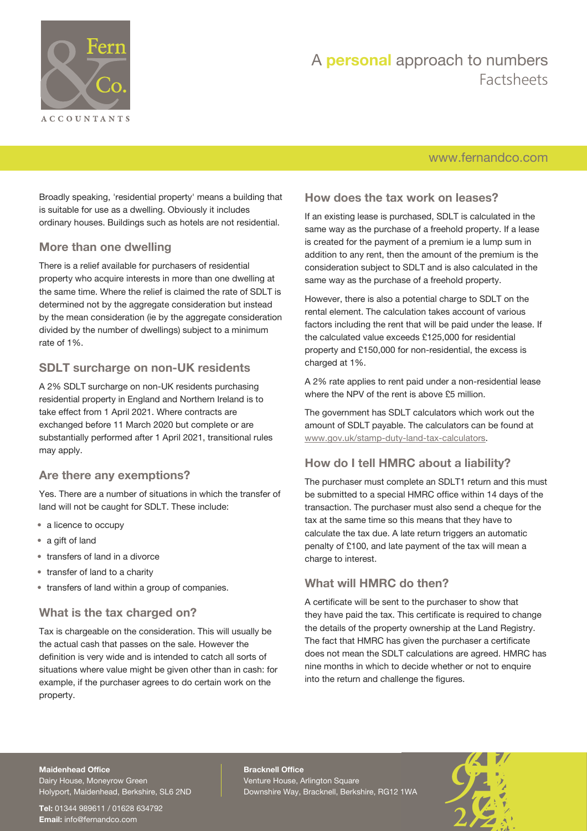

# A **personal** approach to numbers Factsheets

### [www.fernandco.com](http://www.fernandco.com)

Broadly speaking, 'residential property' means a building that is suitable for use as a dwelling. Obviously it includes ordinary houses. Buildings such as hotels are not residential.

### **More than one dwelling**

There is a relief available for purchasers of residential property who acquire interests in more than one dwelling at the same time. Where the relief is claimed the rate of SDI T is determined not by the aggregate consideration but instead by the mean consideration (ie by the aggregate consideration divided by the number of dwellings) subject to a minimum rate of 1%.

### **SDLT surcharge on non-UK residents**

A 2% SDLT surcharge on non-UK residents purchasing residential property in England and Northern Ireland is to take effect from 1 April 2021. Where contracts are exchanged before 11 March 2020 but complete or are substantially performed after 1 April 2021, transitional rules may apply.

### **Are there any exemptions?**

Yes. There are a number of situations in which the transfer of land will not be caught for SDLT. These include:

- a licence to occupy
- a gift of land
- transfers of land in a divorce
- transfer of land to a charity
- transfers of land within a group of companies.

### **What is the tax charged on?**

Tax is chargeable on the consideration. This will usually be the actual cash that passes on the sale. However the definition is very wide and is intended to catch all sorts of situations where value might be given other than in cash: for example, if the purchaser agrees to do certain work on the property.

### **How does the tax work on leases?**

If an existing lease is purchased, SDLT is calculated in the same way as the purchase of a freehold property. If a lease is created for the payment of a premium ie a lump sum in addition to any rent, then the amount of the premium is the consideration subject to SDLT and is also calculated in the same way as the purchase of a freehold property.

However, there is also a potential charge to SDLT on the rental element. The calculation takes account of various factors including the rent that will be paid under the lease. If the calculated value exceeds £125,000 for residential property and £150,000 for non-residential, the excess is charged at 1%.

A 2% rate applies to rent paid under a non-residential lease where the NPV of the rent is above £5 million.

The government has SDLT calculators which work out the amount of SDLT payable. The calculators can be found at [www.gov.uk/stamp-duty-land-tax-calculators](https://www.gov.uk/stamp-duty-land-tax-calculators).

### **How do I tell HMRC about a liability?**

The purchaser must complete an SDLT1 return and this must be submitted to a special HMRC office within 14 days of the transaction. The purchaser must also send a cheque for the tax at the same time so this means that they have to calculate the tax due. A late return triggers an automatic penalty of £100, and late payment of the tax will mean a charge to interest.

### **What will HMRC do then?**

A certificate will be sent to the purchaser to show that they have paid the tax. This certificate is required to change the details of the property ownership at the Land Registry. The fact that HMRC has given the purchaser a certificate does not mean the SDLT calculations are agreed. HMRC has nine months in which to decide whether or not to enquire into the return and challenge the figures.

#### **Maidenhead Office**

Dairy House, Moneyrow Green Holyport, Maidenhead, Berkshire, SL6 2ND

**Tel:** 01344 989611 / 01628 634792 **Email:** [info@fernandco.com](mailto:info@fernandco.com)